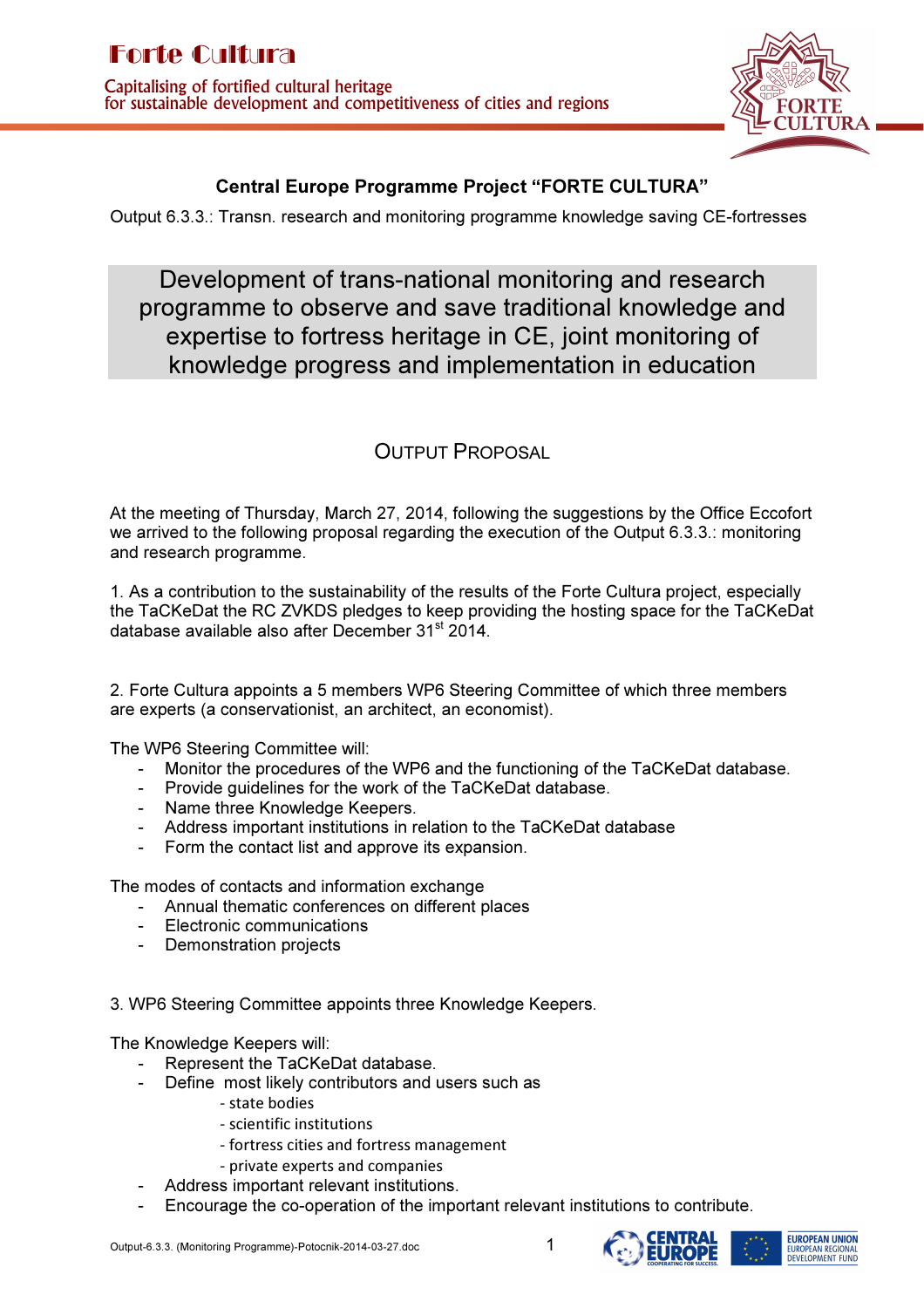

## Central Europe Programme Project "FORTE CULTURA"

Output 6.3.3.: Transn. research and monitoring programme knowledge saving CE-fortresses

Development of trans-national monitoring and research programme to observe and save traditional knowledge and expertise to fortress heritage in CE, joint monitoring of knowledge progress and implementation in education

## OUTPUT PROPOSAL

At the meeting of Thursday, March 27, 2014, following the suggestions by the Office Eccofort we arrived to the following proposal regarding the execution of the Output 6.3.3.: monitoring and research programme.

1. As a contribution to the sustainability of the results of the Forte Cultura project, especially the TaCKeDat the RC ZVKDS pledges to keep providing the hosting space for the TaCKeDat database available also after December 31<sup>st</sup> 2014.

2. Forte Cultura appoints a 5 members WP6 Steering Committee of which three members are experts (a conservationist, an architect, an economist).

The WP6 Steering Committee will:

- Monitor the procedures of the WP6 and the functioning of the TaCKeDat database.
- Provide guidelines for the work of the TaCKeDat database.
- Name three Knowledge Keepers.
- Address important institutions in relation to the TaCKeDat database
- Form the contact list and approve its expansion.

The modes of contacts and information exchange

- Annual thematic conferences on different places
- Electronic communications
- Demonstration projects

3. WP6 Steering Committee appoints three Knowledge Keepers.

The Knowledge Keepers will:

- Represent the TaCKeDat database.
- Define most likely contributors and users such as
	- state bodies
	- scientific institutions
	- fortress cities and fortress management
	- private experts and companies
- Address important relevant institutions.
- Encourage the co-operation of the important relevant institutions to contribute.